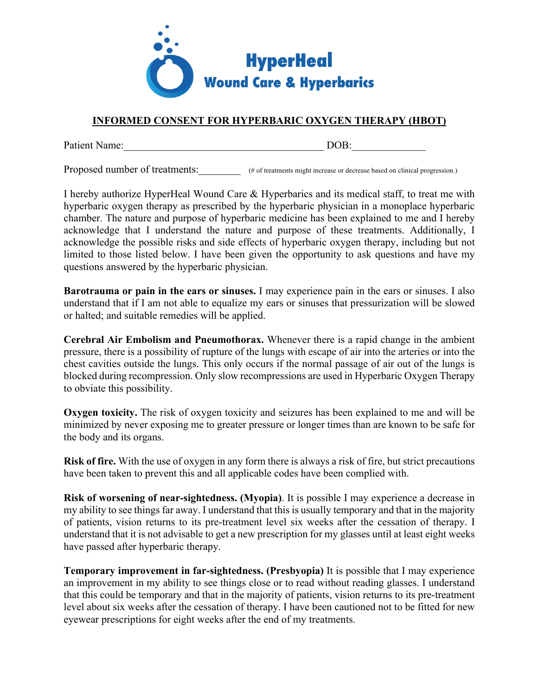

## **INFORMED CONSENT FOR HYPERBARIC OXYGEN THERAPY (HBOT)**

Patient Name:\_\_\_\_\_\_\_\_\_\_\_\_\_\_\_\_\_\_\_\_\_\_\_\_\_\_\_\_\_\_\_\_\_\_\_\_\_\_ DOB:\_\_\_\_\_\_\_\_\_\_\_\_\_\_

Proposed number of treatments:  $\qquad$  (# of treatments might increase or decrease based on clinical progression.)

I hereby authorize HyperHeal Wound Care & Hyperbarics and its medical staff, to treat me with hyperbaric oxygen therapy as prescribed by the hyperbaric physician in a monoplace hyperbaric chamber. The nature and purpose of hyperbaric medicine has been explained to me and I hereby acknowledge that I understand the nature and purpose of these treatments. Additionally, I acknowledge the possible risks and side effects of hyperbaric oxygen therapy, including but not limited to those listed below. I have been given the opportunity to ask questions and have my questions answered by the hyperbaric physician.

**Barotrauma or pain in the ears or sinuses.** I may experience pain in the ears or sinuses. I also understand that if I am not able to equalize my ears or sinuses that pressurization will be slowed or halted; and suitable remedies will be applied.

**Cerebral Air Embolism and Pneumothorax.** Whenever there is a rapid change in the ambient pressure, there is a possibility of rupture of the lungs with escape of air into the arteries or into the chest cavities outside the lungs. This only occurs if the normal passage of air out of the lungs is blocked during recompression. Only slow recompressions are used in Hyperbaric Oxygen Therapy to obviate this possibility.

**Oxygen toxicity.** The risk of oxygen toxicity and seizures has been explained to me and will be minimized by never exposing me to greater pressure or longer times than are known to be safe for the body and its organs.

**Risk of fire.** With the use of oxygen in any form there is always a risk of fire, but strict precautions have been taken to prevent this and all applicable codes have been complied with.

**Risk of worsening of near-sightedness. (Myopia)**. It is possible I may experience a decrease in my ability to see things far away. I understand that this is usually temporary and that in the majority of patients, vision returns to its pre-treatment level six weeks after the cessation of therapy. I understand that it is not advisable to get a new prescription for my glasses until at least eight weeks have passed after hyperbaric therapy.

**Temporary improvement in far-sightedness. (Presbyopia)** It is possible that I may experience an improvement in my ability to see things close or to read without reading glasses. I understand that this could be temporary and that in the majority of patients, vision returns to its pre-treatment level about six weeks after the cessation of therapy. I have been cautioned not to be fitted for new eyewear prescriptions for eight weeks after the end of my treatments.